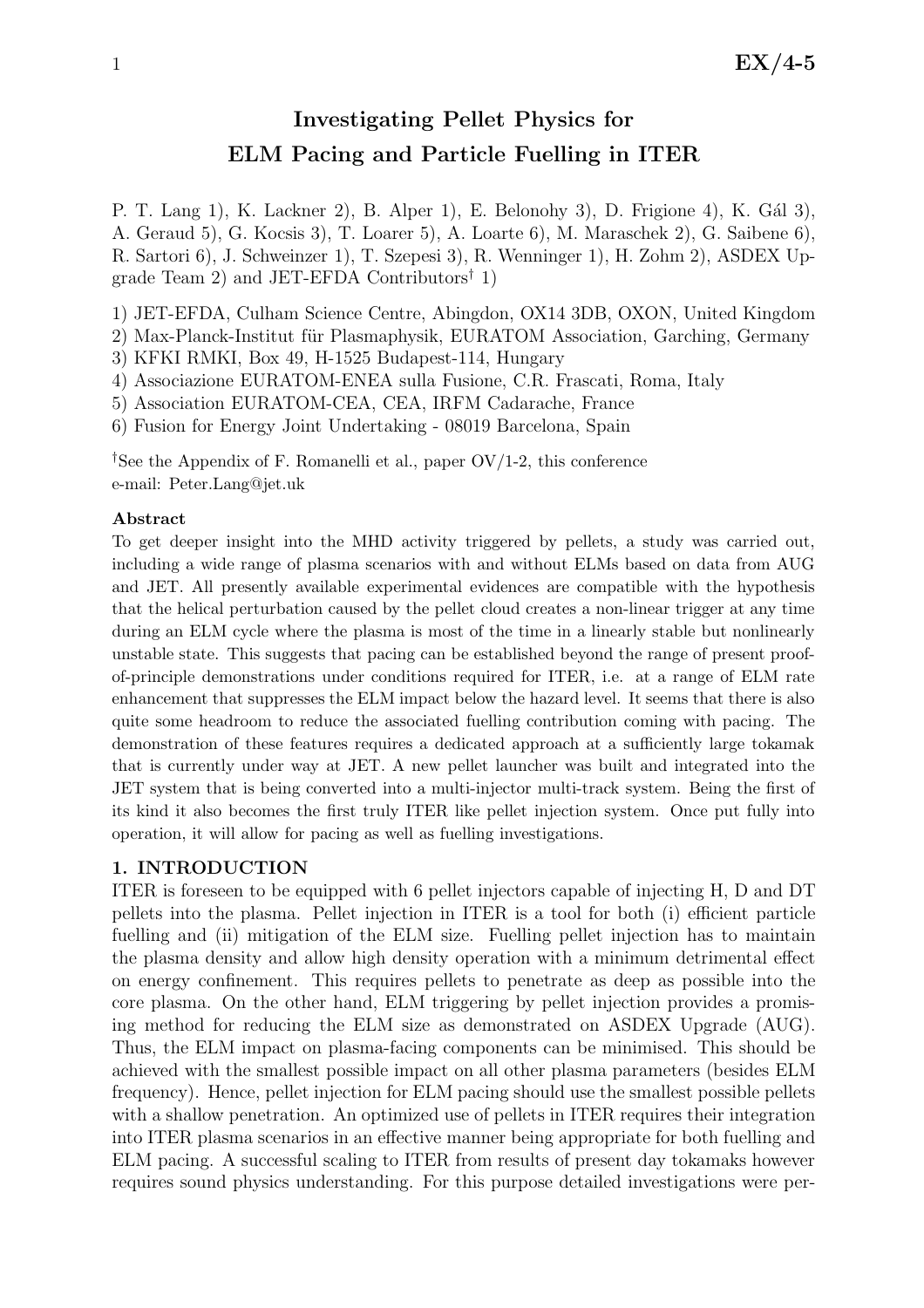# Investigating Pellet Physics for ELM Pacing and Particle Fuelling in ITER

P. T. Lang 1), K. Lackner 2), B. Alper 1), E. Belonohy 3), D. Frigione 4), K. Gál 3), A. Geraud 5), G. Kocsis 3), T. Loarer 5), A. Loarte 6), M. Maraschek 2), G. Saibene 6), R. Sartori 6), J. Schweinzer 1), T. Szepesi 3), R. Wenninger 1), H. Zohm 2), ASDEX Upgrade Team 2) and JET-EFDA Contributors† 1)

1) JET-EFDA, Culham Science Centre, Abingdon, OX14 3DB, OXON, United Kingdom

2) Max-Planck-Institut für Plasmaphysik, EURATOM Association, Garching, Germany

3) KFKI RMKI, Box 49, H-1525 Budapest-114, Hungary

4) Associazione EURATOM-ENEA sulla Fusione, C.R. Frascati, Roma, Italy

5) Association EURATOM-CEA, CEA, IRFM Cadarache, France

6) Fusion for Energy Joint Undertaking - 08019 Barcelona, Spain

†See the Appendix of F. Romanelli et al., paper OV/1-2, this conference e-mail: Peter.Lang@jet.uk

### Abstract

To get deeper insight into the MHD activity triggered by pellets, a study was carried out, including a wide range of plasma scenarios with and without ELMs based on data from AUG and JET. All presently available experimental evidences are compatible with the hypothesis that the helical perturbation caused by the pellet cloud creates a non-linear trigger at any time during an ELM cycle where the plasma is most of the time in a linearly stable but nonlinearly unstable state. This suggests that pacing can be established beyond the range of present proofof-principle demonstrations under conditions required for ITER, i.e. at a range of ELM rate enhancement that suppresses the ELM impact below the hazard level. It seems that there is also quite some headroom to reduce the associated fuelling contribution coming with pacing. The demonstration of these features requires a dedicated approach at a sufficiently large tokamak that is currently under way at JET. A new pellet launcher was built and integrated into the JET system that is being converted into a multi-injector multi-track system. Being the first of its kind it also becomes the first truly ITER like pellet injection system. Once put fully into operation, it will allow for pacing as well as fuelling investigations.

## 1. INTRODUCTION

ITER is foreseen to be equipped with 6 pellet injectors capable of injecting H, D and DT pellets into the plasma. Pellet injection in ITER is a tool for both (i) efficient particle fuelling and (ii) mitigation of the ELM size. Fuelling pellet injection has to maintain the plasma density and allow high density operation with a minimum detrimental effect on energy confinement. This requires pellets to penetrate as deep as possible into the core plasma. On the other hand, ELM triggering by pellet injection provides a promising method for reducing the ELM size as demonstrated on ASDEX Upgrade (AUG). Thus, the ELM impact on plasma-facing components can be minimised. This should be achieved with the smallest possible impact on all other plasma parameters (besides ELM frequency). Hence, pellet injection for ELM pacing should use the smallest possible pellets with a shallow penetration. An optimized use of pellets in ITER requires their integration into ITER plasma scenarios in an effective manner being appropriate for both fuelling and ELM pacing. A successful scaling to ITER from results of present day tokamaks however requires sound physics understanding. For this purpose detailed investigations were per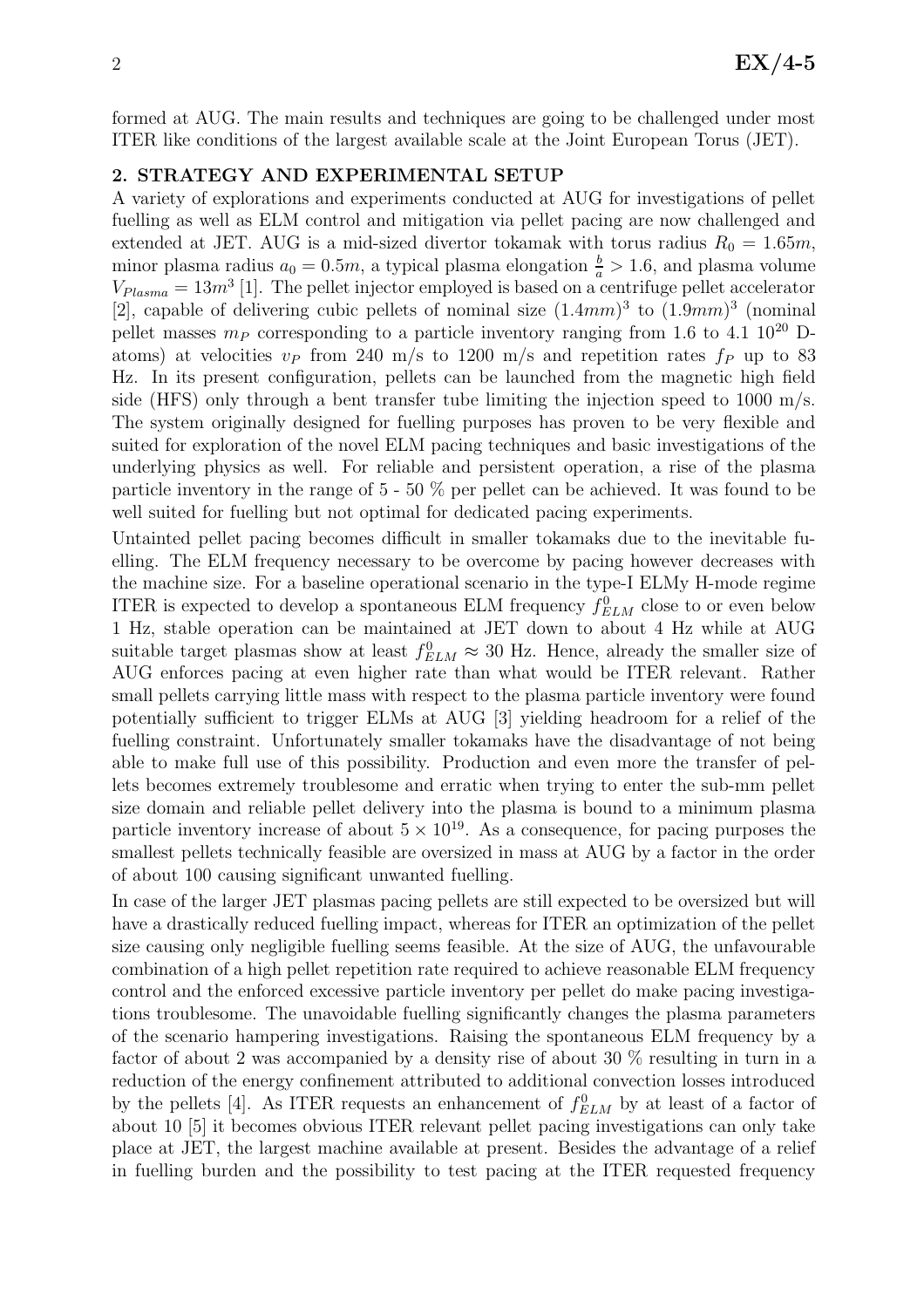formed at AUG. The main results and techniques are going to be challenged under most ITER like conditions of the largest available scale at the Joint European Torus (JET).

## 2. STRATEGY AND EXPERIMENTAL SETUP

A variety of explorations and experiments conducted at AUG for investigations of pellet fuelling as well as ELM control and mitigation via pellet pacing are now challenged and extended at JET. AUG is a mid-sized divertor tokamak with torus radius  $R_0 = 1.65m$ , minor plasma radius  $a_0 = 0.5m$ , a typical plasma elongation  $\frac{b}{a} > 1.6$ , and plasma volume  $V_{Plasma} = 13m^3$  [1]. The pellet injector employed is based on a centrifuge pellet accelerator [2], capable of delivering cubic pellets of nominal size  $(1.4mm)^3$  to  $(1.9mm)^3$  (nominal pellet masses  $m_P$  corresponding to a particle inventory ranging from 1.6 to 4.1 10<sup>20</sup> Datoms) at velocities  $v_P$  from 240 m/s to 1200 m/s and repetition rates  $f_P$  up to 83 Hz. In its present configuration, pellets can be launched from the magnetic high field side (HFS) only through a bent transfer tube limiting the injection speed to 1000 m/s. The system originally designed for fuelling purposes has proven to be very flexible and suited for exploration of the novel ELM pacing techniques and basic investigations of the underlying physics as well. For reliable and persistent operation, a rise of the plasma particle inventory in the range of 5 - 50 % per pellet can be achieved. It was found to be well suited for fuelling but not optimal for dedicated pacing experiments.

Untainted pellet pacing becomes difficult in smaller tokamaks due to the inevitable fuelling. The ELM frequency necessary to be overcome by pacing however decreases with the machine size. For a baseline operational scenario in the type-I ELMy H-mode regime ITER is expected to develop a spontaneous ELM frequency  $f_{ELM}^0$  close to or even below 1 Hz, stable operation can be maintained at JET down to about 4 Hz while at AUG suitable target plasmas show at least  $f_{ELM}^0 \approx 30$  Hz. Hence, already the smaller size of AUG enforces pacing at even higher rate than what would be ITER relevant. Rather small pellets carrying little mass with respect to the plasma particle inventory were found potentially sufficient to trigger ELMs at AUG [3] yielding headroom for a relief of the fuelling constraint. Unfortunately smaller tokamaks have the disadvantage of not being able to make full use of this possibility. Production and even more the transfer of pellets becomes extremely troublesome and erratic when trying to enter the sub-mm pellet size domain and reliable pellet delivery into the plasma is bound to a minimum plasma particle inventory increase of about  $5 \times 10^{19}$ . As a consequence, for pacing purposes the smallest pellets technically feasible are oversized in mass at AUG by a factor in the order of about 100 causing significant unwanted fuelling.

In case of the larger JET plasmas pacing pellets are still expected to be oversized but will have a drastically reduced fuelling impact, whereas for ITER an optimization of the pellet size causing only negligible fuelling seems feasible. At the size of AUG, the unfavourable combination of a high pellet repetition rate required to achieve reasonable ELM frequency control and the enforced excessive particle inventory per pellet do make pacing investigations troublesome. The unavoidable fuelling significantly changes the plasma parameters of the scenario hampering investigations. Raising the spontaneous ELM frequency by a factor of about 2 was accompanied by a density rise of about 30 % resulting in turn in a reduction of the energy confinement attributed to additional convection losses introduced by the pellets [4]. As ITER requests an enhancement of  $f_{ELM}^0$  by at least of a factor of about 10 [5] it becomes obvious ITER relevant pellet pacing investigations can only take place at JET, the largest machine available at present. Besides the advantage of a relief in fuelling burden and the possibility to test pacing at the ITER requested frequency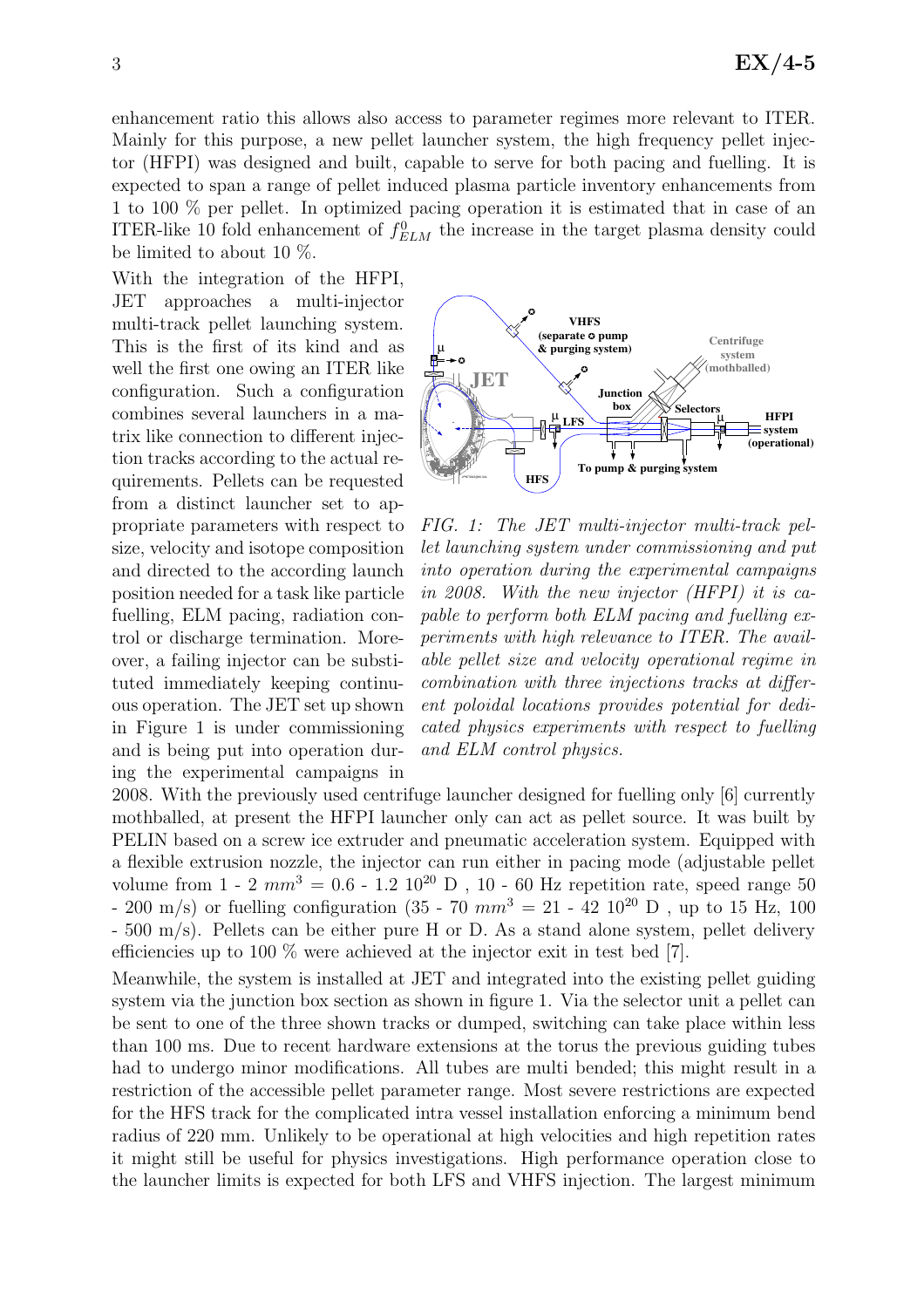enhancement ratio this allows also access to parameter regimes more relevant to ITER. Mainly for this purpose, a new pellet launcher system, the high frequency pellet injector (HFPI) was designed and built, capable to serve for both pacing and fuelling. It is expected to span a range of pellet induced plasma particle inventory enhancements from 1 to 100 % per pellet. In optimized pacing operation it is estimated that in case of an ITER-like 10 fold enhancement of  $f_{ELM}^0$  the increase in the target plasma density could be limited to about 10 %.

With the integration of the HFPI, JET approaches a multi-injector multi-track pellet launching system. This is the first of its kind and as well the first one owing an ITER like configuration. Such a configuration combines several launchers in a matrix like connection to different injection tracks according to the actual requirements. Pellets can be requested from a distinct launcher set to appropriate parameters with respect to size, velocity and isotope composition and directed to the according launch position needed for a task like particle fuelling, ELM pacing, radiation control or discharge termination. Moreover, a failing injector can be substituted immediately keeping continuous operation. The JET set up shown in Figure 1 is under commissioning and is being put into operation during the experimental campaigns in



FIG. 1: The JET multi-injector multi-track pellet launching system under commissioning and put into operation during the experimental campaigns in 2008. With the new injector (HFPI) it is capable to perform both ELM pacing and fuelling experiments with high relevance to ITER. The available pellet size and velocity operational regime in combination with three injections tracks at different poloidal locations provides potential for dedicated physics experiments with respect to fuelling and ELM control physics.

2008. With the previously used centrifuge launcher designed for fuelling only [6] currently mothballed, at present the HFPI launcher only can act as pellet source. It was built by PELIN based on a screw ice extruder and pneumatic acceleration system. Equipped with a flexible extrusion nozzle, the injector can run either in pacing mode (adjustable pellet volume from  $1 - 2 \, mm^3 = 0.6 - 1.2 \, 10^{20} \, D$ , 10 - 60 Hz repetition rate, speed range 50 - 200 m/s) or fuelling configuration (35 - 70  $mm^3 = 21$  - 42 10<sup>20</sup> D, up to 15 Hz, 100 - 500 m/s). Pellets can be either pure H or D. As a stand alone system, pellet delivery efficiencies up to 100 % were achieved at the injector exit in test bed [7].

Meanwhile, the system is installed at JET and integrated into the existing pellet guiding system via the junction box section as shown in figure 1. Via the selector unit a pellet can be sent to one of the three shown tracks or dumped, switching can take place within less than 100 ms. Due to recent hardware extensions at the torus the previous guiding tubes had to undergo minor modifications. All tubes are multi bended; this might result in a restriction of the accessible pellet parameter range. Most severe restrictions are expected for the HFS track for the complicated intra vessel installation enforcing a minimum bend radius of 220 mm. Unlikely to be operational at high velocities and high repetition rates it might still be useful for physics investigations. High performance operation close to the launcher limits is expected for both LFS and VHFS injection. The largest minimum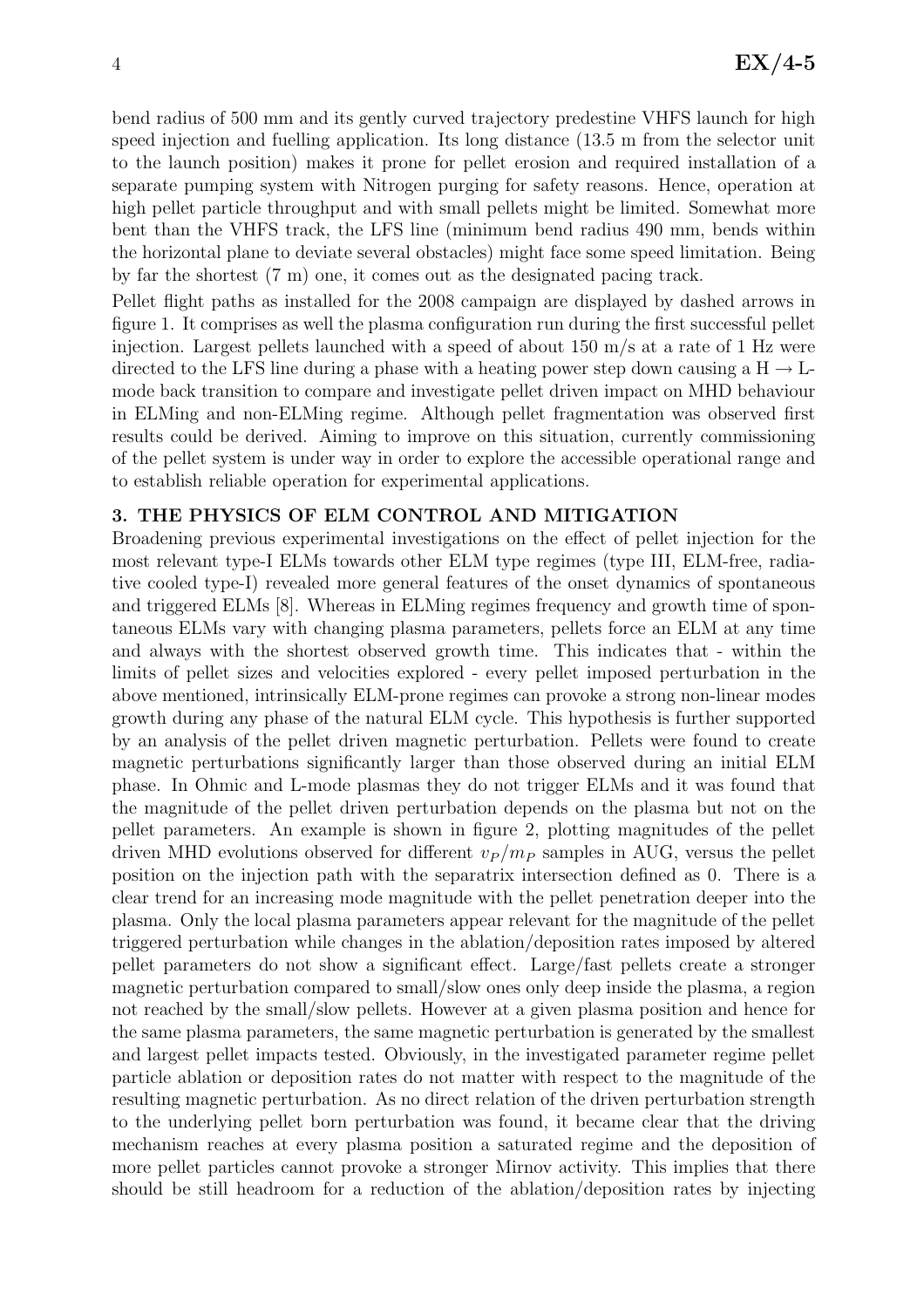bend radius of 500 mm and its gently curved trajectory predestine VHFS launch for high speed injection and fuelling application. Its long distance (13.5 m from the selector unit to the launch position) makes it prone for pellet erosion and required installation of a separate pumping system with Nitrogen purging for safety reasons. Hence, operation at high pellet particle throughput and with small pellets might be limited. Somewhat more bent than the VHFS track, the LFS line (minimum bend radius 490 mm, bends within the horizontal plane to deviate several obstacles) might face some speed limitation. Being by far the shortest (7 m) one, it comes out as the designated pacing track.

Pellet flight paths as installed for the 2008 campaign are displayed by dashed arrows in figure 1. It comprises as well the plasma configuration run during the first successful pellet injection. Largest pellets launched with a speed of about 150 m/s at a rate of 1 Hz were directed to the LFS line during a phase with a heating power step down causing a  $H \rightarrow L$ mode back transition to compare and investigate pellet driven impact on MHD behaviour in ELMing and non-ELMing regime. Although pellet fragmentation was observed first results could be derived. Aiming to improve on this situation, currently commissioning of the pellet system is under way in order to explore the accessible operational range and to establish reliable operation for experimental applications.

# 3. THE PHYSICS OF ELM CONTROL AND MITIGATION

Broadening previous experimental investigations on the effect of pellet injection for the most relevant type-I ELMs towards other ELM type regimes (type III, ELM-free, radiative cooled type-I) revealed more general features of the onset dynamics of spontaneous and triggered ELMs [8]. Whereas in ELMing regimes frequency and growth time of spontaneous ELMs vary with changing plasma parameters, pellets force an ELM at any time and always with the shortest observed growth time. This indicates that - within the limits of pellet sizes and velocities explored - every pellet imposed perturbation in the above mentioned, intrinsically ELM-prone regimes can provoke a strong non-linear modes growth during any phase of the natural ELM cycle. This hypothesis is further supported by an analysis of the pellet driven magnetic perturbation. Pellets were found to create magnetic perturbations significantly larger than those observed during an initial ELM phase. In Ohmic and L-mode plasmas they do not trigger ELMs and it was found that the magnitude of the pellet driven perturbation depends on the plasma but not on the pellet parameters. An example is shown in figure 2, plotting magnitudes of the pellet driven MHD evolutions observed for different  $v_P / m_P$  samples in AUG, versus the pellet position on the injection path with the separatrix intersection defined as 0. There is a clear trend for an increasing mode magnitude with the pellet penetration deeper into the plasma. Only the local plasma parameters appear relevant for the magnitude of the pellet triggered perturbation while changes in the ablation/deposition rates imposed by altered pellet parameters do not show a significant effect. Large/fast pellets create a stronger magnetic perturbation compared to small/slow ones only deep inside the plasma, a region not reached by the small/slow pellets. However at a given plasma position and hence for the same plasma parameters, the same magnetic perturbation is generated by the smallest and largest pellet impacts tested. Obviously, in the investigated parameter regime pellet particle ablation or deposition rates do not matter with respect to the magnitude of the resulting magnetic perturbation. As no direct relation of the driven perturbation strength to the underlying pellet born perturbation was found, it became clear that the driving mechanism reaches at every plasma position a saturated regime and the deposition of more pellet particles cannot provoke a stronger Mirnov activity. This implies that there should be still headroom for a reduction of the ablation/deposition rates by injecting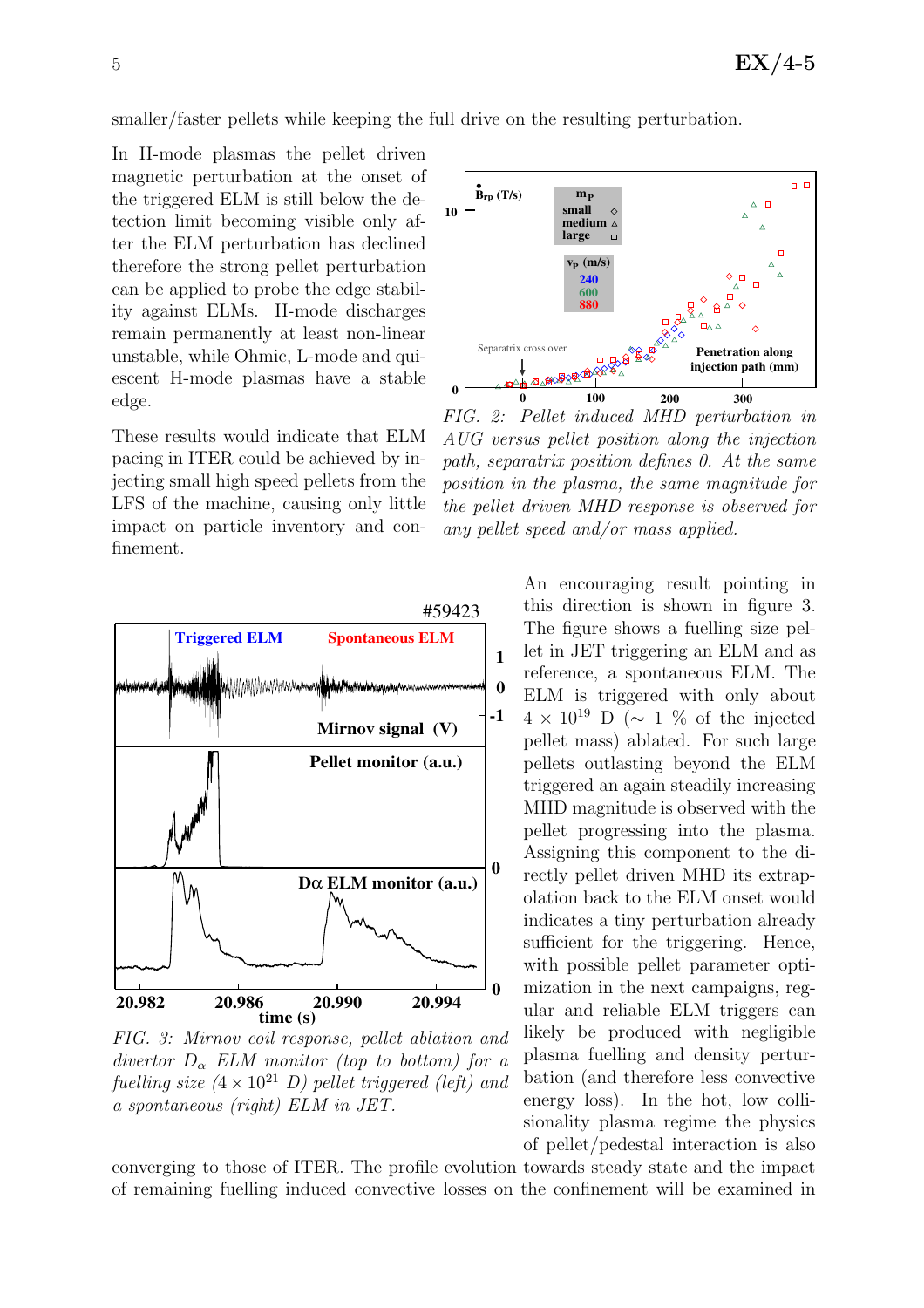smaller/faster pellets while keeping the full drive on the resulting perturbation.

In H-mode plasmas the pellet driven magnetic perturbation at the onset of the triggered ELM is still below the detection limit becoming visible only after the ELM perturbation has declined therefore the strong pellet perturbation can be applied to probe the edge stability against ELMs. H-mode discharges remain permanently at least non-linear unstable, while Ohmic, L-mode and quiescent H-mode plasmas have a stable edge.

These results would indicate that ELM pacing in ITER could be achieved by injecting small high speed pellets from the LFS of the machine, causing only little impact on particle inventory and confinement.



FIG. 3: Mirnov coil response, pellet ablation and divertor  $D_{\alpha}$  ELM monitor (top to bottom) for a fuelling size  $(4 \times 10^{21} \text{ D})$  pellet triggered (left) and a spontaneous (right) ELM in JET.

 $\Box$  $\mathbf{\hat{B}}_{\text{rp}}(\text{T/s})$  **P small 10 medium large**  $v_{\rm P}$  (m/s) **240 600 880** Separatrix cross **Penetration along injection path (mm) BARA 0 100 200 300 0**

FIG. 2: Pellet induced MHD perturbation in AUG versus pellet position along the injection path, separatrix position defines 0. At the same position in the plasma, the same magnitude for the pellet driven MHD response is observed for any pellet speed and/or mass applied.

An encouraging result pointing in this direction is shown in figure 3. The figure shows a fuelling size pellet in JET triggering an ELM and as reference, a spontaneous ELM. The ELM is triggered with only about  $4 \times 10^{19}$  D ( $\sim 1$  % of the injected pellet mass) ablated. For such large pellets outlasting beyond the ELM triggered an again steadily increasing MHD magnitude is observed with the pellet progressing into the plasma. Assigning this component to the directly pellet driven MHD its extrapolation back to the ELM onset would indicates a tiny perturbation already sufficient for the triggering. Hence, with possible pellet parameter optimization in the next campaigns, regular and reliable ELM triggers can likely be produced with negligible plasma fuelling and density perturbation (and therefore less convective energy loss). In the hot, low collisionality plasma regime the physics of pellet/pedestal interaction is also

converging to those of ITER. The profile evolution towards steady state and the impact of remaining fuelling induced convective losses on the confinement will be examined in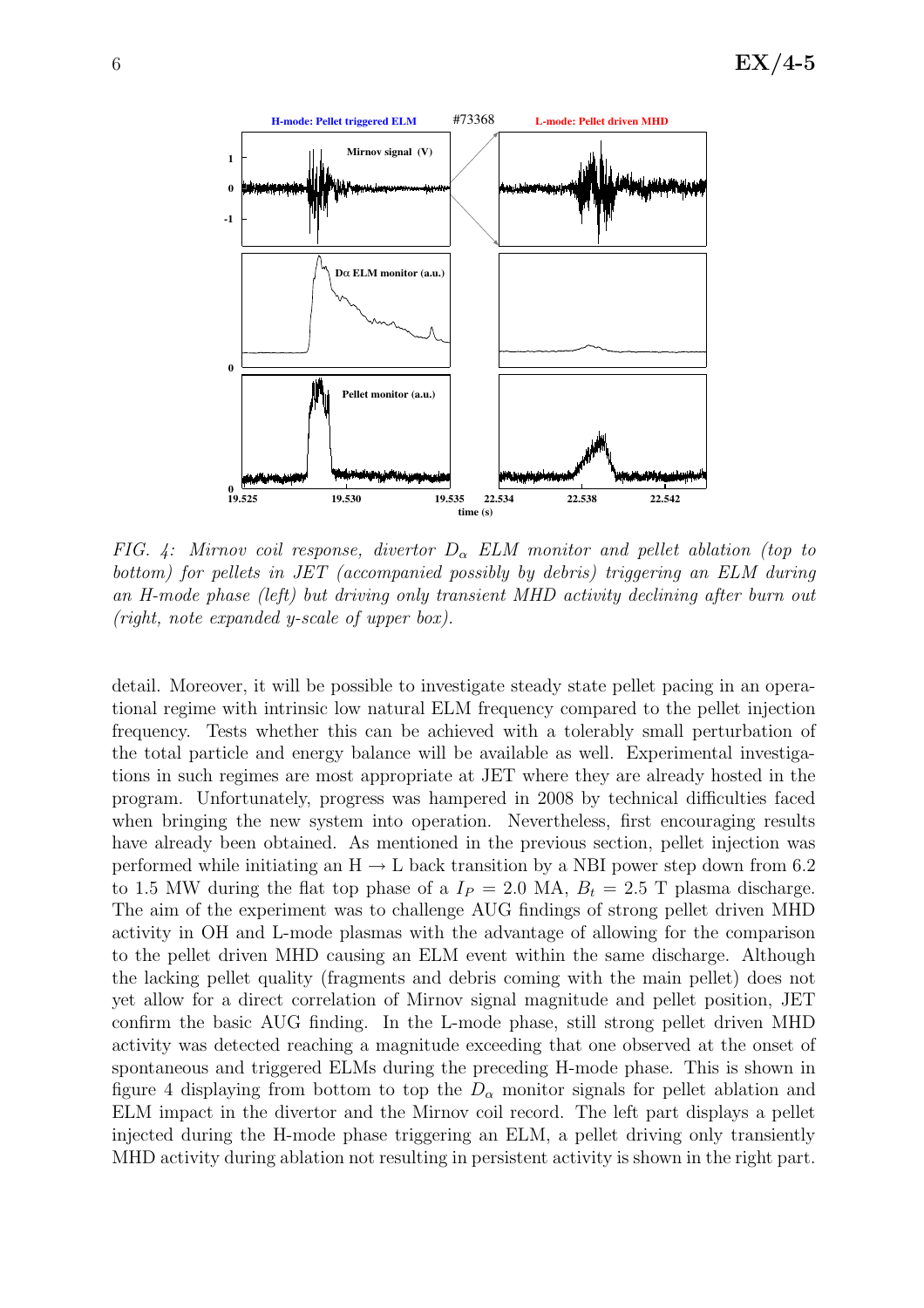

FIG. 4: Mirnov coil response, divertor  $D_{\alpha}$  ELM monitor and pellet ablation (top to bottom) for pellets in JET (accompanied possibly by debris) triggering an ELM during an H-mode phase (left) but driving only transient MHD activity declining after burn out (right, note expanded y-scale of upper box).

detail. Moreover, it will be possible to investigate steady state pellet pacing in an operational regime with intrinsic low natural ELM frequency compared to the pellet injection frequency. Tests whether this can be achieved with a tolerably small perturbation of the total particle and energy balance will be available as well. Experimental investigations in such regimes are most appropriate at JET where they are already hosted in the program. Unfortunately, progress was hampered in 2008 by technical difficulties faced when bringing the new system into operation. Nevertheless, first encouraging results have already been obtained. As mentioned in the previous section, pellet injection was performed while initiating an  $H \rightarrow L$  back transition by a NBI power step down from 6.2 to 1.5 MW during the flat top phase of a  $I_P = 2.0$  MA,  $B_t = 2.5$  T plasma discharge. The aim of the experiment was to challenge AUG findings of strong pellet driven MHD activity in OH and L-mode plasmas with the advantage of allowing for the comparison to the pellet driven MHD causing an ELM event within the same discharge. Although the lacking pellet quality (fragments and debris coming with the main pellet) does not yet allow for a direct correlation of Mirnov signal magnitude and pellet position, JET confirm the basic AUG finding. In the L-mode phase, still strong pellet driven MHD activity was detected reaching a magnitude exceeding that one observed at the onset of spontaneous and triggered ELMs during the preceding H-mode phase. This is shown in figure 4 displaying from bottom to top the  $D_{\alpha}$  monitor signals for pellet ablation and ELM impact in the divertor and the Mirnov coil record. The left part displays a pellet injected during the H-mode phase triggering an ELM, a pellet driving only transiently MHD activity during ablation not resulting in persistent activity is shown in the right part.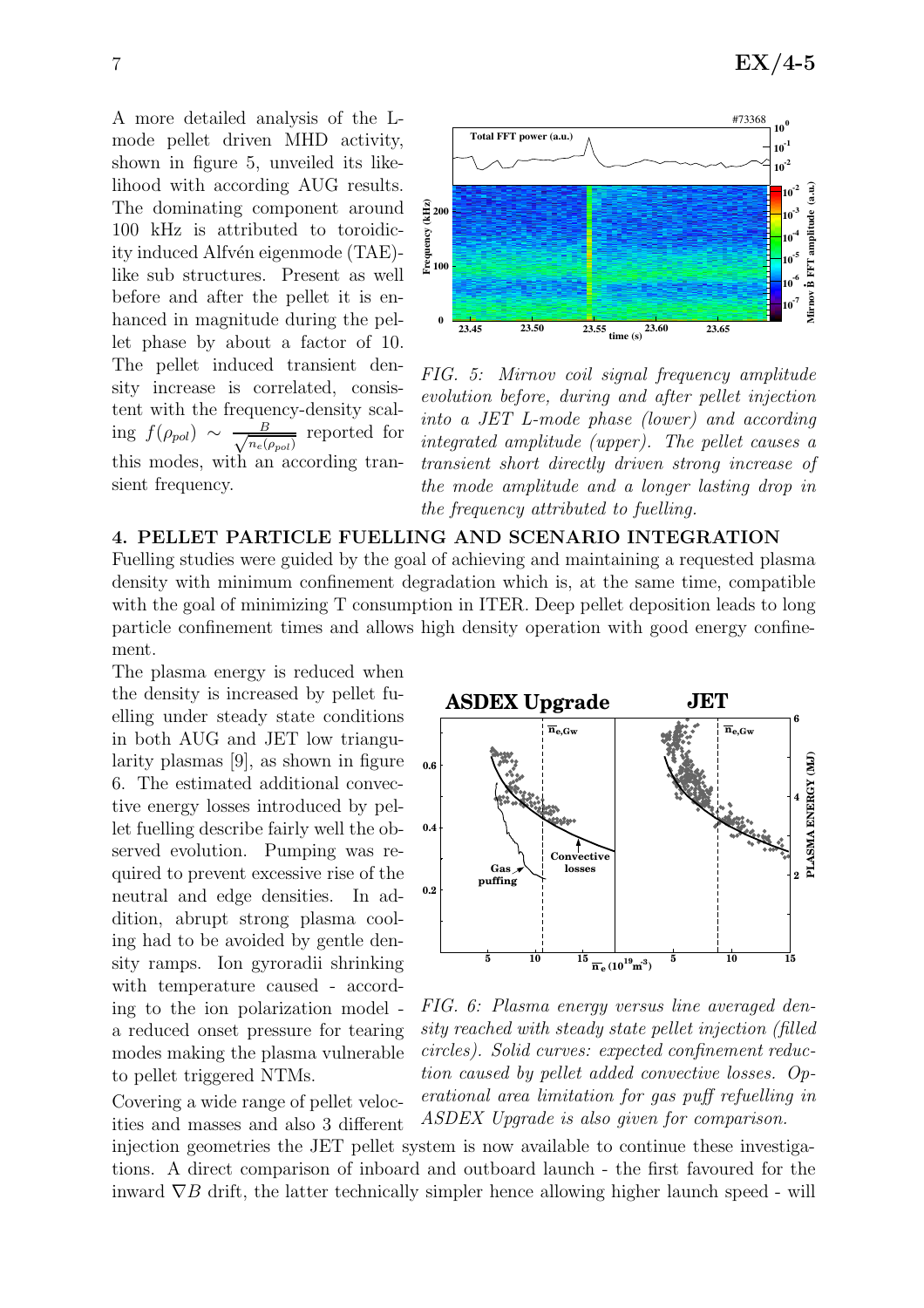A more detailed analysis of the Lmode pellet driven MHD activity, shown in figure 5, unveiled its likelihood with according AUG results. The dominating component around 100 kHz is attributed to toroidicity induced Alfvén eigenmode (TAE)like sub structures. Present as well before and after the pellet it is enhanced in magnitude during the pellet phase by about a factor of 10. The pellet induced transient density increase is correlated, consistent with the frequency-density scaling  $f(\rho_{pol}) \sim \frac{B}{\sqrt{n_e(1)}}$  $rac{B}{n_e(\rho_{pol})}$  reported for this modes, with an according transient frequency.



FIG. 5: Mirnov coil signal frequency amplitude evolution before, during and after pellet injection into a JET L-mode phase (lower) and according integrated amplitude (upper). The pellet causes a transient short directly driven strong increase of the mode amplitude and a longer lasting drop in the frequency attributed to fuelling.

#### 4. PELLET PARTICLE FUELLING AND SCENARIO INTEGRATION

Fuelling studies were guided by the goal of achieving and maintaining a requested plasma density with minimum confinement degradation which is, at the same time, compatible with the goal of minimizing T consumption in ITER. Deep pellet deposition leads to long particle confinement times and allows high density operation with good energy confinement.

The plasma energy is reduced when the density is increased by pellet fuelling under steady state conditions in both AUG and JET low triangularity plasmas [9], as shown in figure 6. The estimated additional convective energy losses introduced by pellet fuelling describe fairly well the observed evolution. Pumping was required to prevent excessive rise of the neutral and edge densities. In addition, abrupt strong plasma cooling had to be avoided by gentle density ramps. Ion gyroradii shrinking with temperature caused - according to the ion polarization model a reduced onset pressure for tearing modes making the plasma vulnerable to pellet triggered NTMs.

Covering a wide range of pellet velocities and masses and also 3 different



FIG. 6: Plasma energy versus line averaged density reached with steady state pellet injection (filled circles). Solid curves: expected confinement reduction caused by pellet added convective losses. Operational area limitation for gas puff refuelling in ASDEX Upgrade is also given for comparison.

injection geometries the JET pellet system is now available to continue these investigations. A direct comparison of inboard and outboard launch - the first favoured for the inward  $\nabla B$  drift, the latter technically simpler hence allowing higher launch speed - will